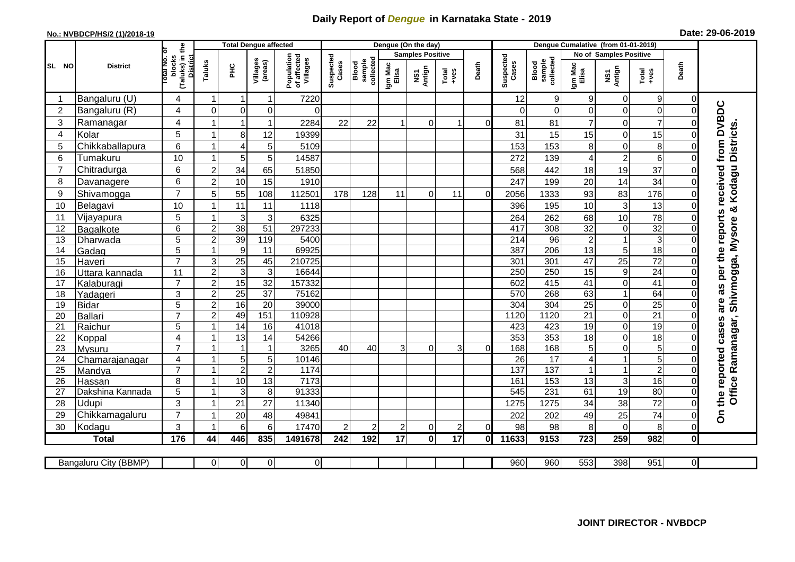## **Daily Report of** *Dengue* **in Karnataka State - 2019**

## **No.: NVBDCP/HS/2 (1)/2018-19 Date: 29-06-2019**

|                 | <b>District</b>            |                                          | <b>Total Dengue affected</b>                          |                                       |                      |                              |                  |                |                         | Dengue (On the day) |                    |                                                  |                        |                        |                    |                        |                      |                         |                                     |
|-----------------|----------------------------|------------------------------------------|-------------------------------------------------------|---------------------------------------|----------------------|------------------------------|------------------|----------------|-------------------------|---------------------|--------------------|--------------------------------------------------|------------------------|------------------------|--------------------|------------------------|----------------------|-------------------------|-------------------------------------|
|                 |                            |                                          |                                                       |                                       |                      |                              |                  |                | <b>Samples Positive</b> |                     |                    |                                                  |                        |                        |                    | No of Samples Positive |                      |                         |                                     |
| SL NO           |                            | (Taluks) in the<br>otal No. of<br>blocks | <b>District</b><br>Villages<br>(areas)<br>Taluks<br>Ξ | Population<br>of affected<br>Villages | Suspected<br>Cases   | sample<br>collected<br>Blood | Igm Mac<br>Elisa | NS1<br>Antign  | $Totael$                | Death               | Suspected<br>Cases | sample<br>collected<br>Blood<br>Igm Mac<br>Elisa |                        | NS1<br>Antign          | Total<br>+ves      | Death                  |                      |                         |                                     |
|                 | Bangaluru (U)              | 4                                        | -1                                                    |                                       | 1                    | 7220                         |                  |                |                         |                     |                    |                                                  | 12                     | 9                      | 9                  | $\mathbf 0$            | 9                    | 0                       |                                     |
| $\overline{2}$  | Bangaluru (R)              | 4                                        | $\mathbf 0$                                           | $\mathbf 0$                           | $\mathbf 0$          | $\Omega$                     |                  |                |                         |                     |                    |                                                  | $\Omega$               | $\mathbf 0$            | $\overline{O}$     | $\mathbf 0$            | $\mathbf 0$          | $\Omega$                |                                     |
| 3               | Ramanagar                  | 4                                        |                                                       |                                       | 1                    | 2284                         | 22               | 22             |                         | $\Omega$            |                    | 0                                                | 81                     | 81                     | $\overline{7}$     | 0                      | $\overline{7}$       |                         | per the reports received from DVBDC |
| $\overline{4}$  | Kolar                      | 5                                        |                                                       | 8                                     | 12                   | 19399                        |                  |                |                         |                     |                    |                                                  | 31                     | 15                     | 15                 | $\mathbf 0$            | 15                   | $\Omega$                |                                     |
| 5               | Chikkaballapura            | $6\phantom{1}$                           |                                                       | 4                                     | 5                    | 5109                         |                  |                |                         |                     |                    |                                                  | 153                    | 153                    | 8                  | $\mathbf 0$            | 8                    | $\Omega$                | <b>Districts</b>                    |
| 6               | Tumakuru                   | 10                                       |                                                       | 5                                     | 5                    | 14587                        |                  |                |                         |                     |                    |                                                  | 272                    | 139                    | 4                  | $\overline{c}$         | 6                    | $\Omega$                |                                     |
| $\overline{7}$  | Chitradurga                | $6\phantom{1}$                           | $\overline{2}$                                        | 34                                    | 65                   | 51850                        |                  |                |                         |                     |                    |                                                  | 568                    | 442                    | 18                 | 19                     | 37                   | $\Omega$                |                                     |
| 8               | Davanagere                 | $6\phantom{1}$                           | $\overline{2}$                                        | 10                                    | 15                   | 1910                         |                  |                |                         |                     |                    |                                                  | 247                    | 199                    | 20                 | 14                     | 34                   | $\Omega$                |                                     |
| 9               | Shivamogga                 | $\overline{7}$                           | 5                                                     | 55                                    | 108                  | 112501                       | 178              | 128            | 11                      | $\Omega$            | 11                 | $\Omega$                                         | 2056                   | 1333                   | 93                 | 83                     | 176                  | $\Omega$                | Kodagu                              |
| 10              | Belagavi                   | 10                                       |                                                       | 11                                    | 11                   | 1118                         |                  |                |                         |                     |                    |                                                  | 396                    | 195                    | 10                 | 3                      | 13                   | $\Omega$                | න්                                  |
| 11              | Vijayapura                 | 5                                        |                                                       | 3                                     | 3                    | 6325                         |                  |                |                         |                     |                    |                                                  | 264                    | 262                    | 68                 | 10                     | $\overline{78}$      | 0                       |                                     |
| 12              | Bagalkote                  | $6\phantom{1}$                           | $\overline{c}$                                        | 38                                    | 51                   | 297233                       |                  |                |                         |                     |                    |                                                  | 417                    | 308                    | $\overline{32}$    | $\boldsymbol{0}$       | 32                   | $\Omega$                | Shivmogga, Mysore                   |
| 13              | Dharwada                   | $\overline{5}$                           | $\overline{2}$                                        | 39                                    | 119                  | 5400                         |                  |                |                         |                     |                    |                                                  | $\overline{214}$       | 96                     | $\overline{2}$     | $\overline{1}$         | $\overline{3}$       | $\Omega$                |                                     |
| 14              | Gadag                      | 5                                        |                                                       | 9                                     | 11                   | 69925                        |                  |                |                         |                     |                    |                                                  | 387                    | $\overline{206}$       | 13                 | 5                      | 18                   | $\Omega$                |                                     |
| 15              | Haveri                     | $\overline{7}$                           | 3                                                     | 25                                    | 45                   | 210725                       |                  |                |                         |                     |                    |                                                  | $\overline{301}$       | 301                    | $\overline{47}$    | $\overline{25}$        | $\overline{72}$      | $\Omega$                |                                     |
| 16              | Uttara kannada             | 11                                       | $\overline{c}$                                        | $\mathbf{3}$                          | 3                    | 16644                        |                  |                |                         |                     |                    |                                                  | 250                    | 250                    | 15                 | $\boldsymbol{9}$       | $\overline{24}$      | 0                       |                                     |
| 17              | Kalaburagi                 | $\overline{7}$                           | $\overline{2}$                                        | 15                                    | $\overline{32}$      | 157332                       |                  |                |                         |                     |                    |                                                  | 602                    | 415                    | $\overline{41}$    | $\mathbf 0$            | 41                   | $\Omega$                | 8g                                  |
| 18              | Yadageri                   | 3                                        | $\overline{2}$                                        | $\overline{25}$                       | 37                   | 75162                        |                  |                |                         |                     |                    |                                                  | 570                    | 268                    | 63                 | $\mathbf{1}$           | 64                   | 0                       |                                     |
| 19              | Bidar                      | 5                                        | $\overline{2}$                                        | 16                                    | $\overline{20}$      | 39000                        |                  |                |                         |                     |                    |                                                  | 304                    | 304                    | $\overline{25}$    | $\mathbf 0$            | $\overline{25}$      | $\Omega$                | are                                 |
| 20              | Ballari                    | $\overline{7}$                           | $\overline{c}$                                        | 49                                    | 151                  | 110928                       |                  |                |                         |                     |                    |                                                  | 1120                   | 1120                   | $\overline{21}$    | $\overline{0}$         | $\overline{21}$      | 0                       |                                     |
| 21              | Raichur                    | 5                                        |                                                       | 14                                    | 16                   | 41018                        |                  |                |                         |                     |                    |                                                  | 423                    | 423                    | 19                 | $\mathbf 0$            | 19                   | $\Omega$                | cases                               |
| 22              | Koppal                     | $\overline{4}$                           |                                                       | 13                                    | $\overline{14}$      | 54266                        |                  |                |                         |                     |                    |                                                  | 353                    | 353                    | $\frac{1}{8}$      | $\mathbf 0$            | 18                   | $\Omega$                |                                     |
| 23              | Mysuru                     | $\overline{7}$                           |                                                       | $\overline{\mathbf{1}}$               | 1                    | 3265                         | 40               | 40             | 3                       | $\Omega$            | 3                  | 0                                                | 168                    | 168                    | 5                  | $\mathbf 0$            | 5                    | $\Omega$                |                                     |
| 24              | Chamarajanagar             | $\overline{4}$<br>$\overline{7}$         |                                                       | 5                                     | 5                    | 10146                        |                  |                |                         |                     |                    |                                                  | $\overline{26}$<br>137 | $\overline{17}$<br>137 | 4                  | $\mathbf{1}$           | $\overline{5}$       | $\Omega$                |                                     |
| $\overline{25}$ | Mandya                     |                                          |                                                       | $\overline{2}$                        | $\overline{2}$<br>13 | 1174<br>7173                 |                  |                |                         |                     |                    |                                                  |                        | 153                    | $\mathbf{1}$<br>13 | $\overline{1}$         | $\overline{2}$<br>16 | $\Omega$                |                                     |
| 26<br>27        | Hassan<br>Dakshina Kannada | 8<br>$\overline{5}$                      |                                                       | 10<br>3                               | 8                    | 91333                        |                  |                |                         |                     |                    |                                                  | 161<br>545             | 231                    | 61                 | 3<br>19                | 80                   | $\mathbf 0$<br>$\Omega$ |                                     |
| 28              | <b>Udupi</b>               | 3                                        |                                                       | 21                                    | 27                   | 11340                        |                  |                |                         |                     |                    |                                                  | 1275                   | 1275                   | 34                 | 38                     | 72                   | $\Omega$                | Office Ramanagar,<br>the reported   |
| 29              | Chikkamagaluru             | $\overline{7}$                           |                                                       | 20                                    | 48                   | 49841                        |                  |                |                         |                     |                    |                                                  | 202                    | 202                    | 49                 | 25                     | 74                   | 0                       |                                     |
| 30              | Kodagu                     | $\mathbf{3}$                             |                                                       | 6                                     | 6                    | 17470                        | $\overline{2}$   | $\overline{2}$ | 2                       | 0                   | $\overline{c}$     | $\Omega$                                         | 98                     | 98                     | 8                  | $\mathbf 0$            | 8                    | $\Omega$                | င်္                                 |
|                 | <b>Total</b>               | 176                                      | 44                                                    | 446                                   | 835                  | 1491678                      | 242              | 192            | 17                      | $\mathbf{0}$        | $\overline{17}$    | 0I                                               | 11633                  | 9153                   | 723                | 259                    | 982                  | $\mathbf{0}$            |                                     |
|                 |                            |                                          |                                                       |                                       |                      |                              |                  |                |                         |                     |                    |                                                  |                        |                        |                    |                        |                      |                         |                                     |
|                 | Bangaluru City (BBMP)      |                                          | $\overline{0}$                                        | $\overline{0}$                        | $\overline{0}$       | $\overline{0}$               |                  |                |                         |                     |                    |                                                  | 960                    | 960                    | 553                | 398                    | 951                  | $\overline{O}$          |                                     |